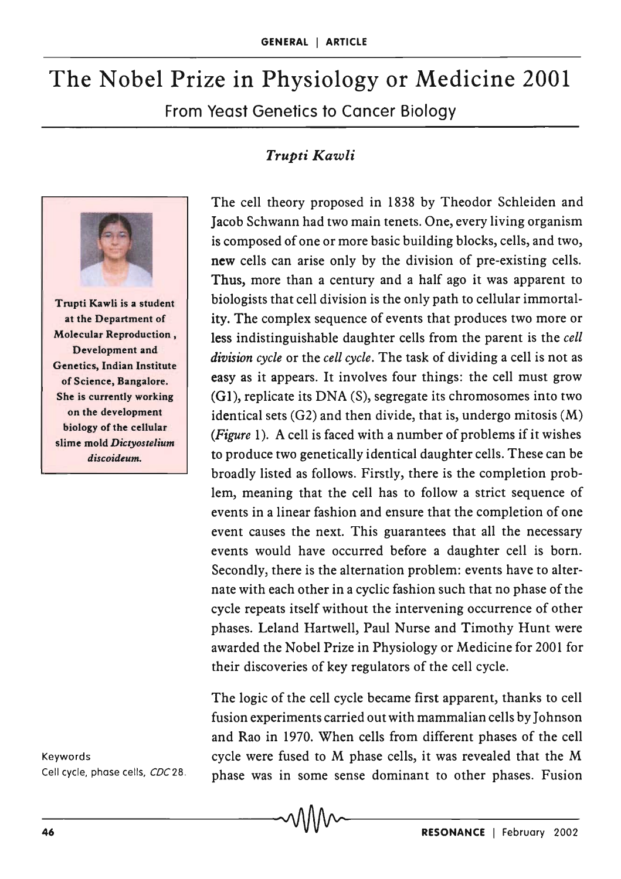## The Nobel Prize in Physiology or Medicine 2001 From Yeast Genetics to Cancer Biology

## *Trupti Kawli*



at the Department of Molecular Reproduction, Development and Genetics, Indian Institute of Science, Bangalore. She is currently working on the development biology of the cellular slime mold *Dictyostelium discoideum.* 

Keywords Cell cycle, phase cells, *CDC28 .*  The cell theory proposed in 1838 by Theodor Schleiden and Jacob Schwann had two main tenets. One, every living organism is composed of one or more basic building blocks, cells, and two, new cells can arise only by the division of pre-existing cells. Thus, more than a century and a half ago it was apparent to biologists that cell division is the only path to cellular immortality. The complex sequence of events that produces two more or less indistinguishable daughter cells from the parent is the *cell division cycle* or the *cell cycle.* The task of dividing a cell is not as easy as it appears. It involves four things: the cell must grow (GI), replicate its DNA (S), segregate its chromosomes into two identical sets  $(G2)$  and then divide, that is, undergo mitosis  $(M)$ *(Figure* 1). A cell is faced with a number of problems if it wishes to produce two genetically identical daughter cells. These can be broadly listed as follows. Firstly, there is the completion problem, meaning that the cell has to follow a strict sequence of events in a linear fashion and ensure that the completion of one event causes the next. This guarantees that all the necessary events would have occurred before a daughter cell is born. Secondly, there is the alternation problem: events have to alternate with each other in a cyclic fashion such that no phase of the cycle repeats itself without the intervening occurrence of other phases. Leland Hartwell, Paul Nurse and Timothy Hunt were awarded the Nobel Prize in Physiology or Medicine for 2001 for their discoveries of key regulators of the cell cycle.

The logic of the cell cycle became first apparent, thanks to cell fusion experiments carried out with mammalian cells by Johnson and Rao in 1970. When cells from different phases of the cell cycle were fused to M phase cells, it was revealed that the M phase was in some sense dominant to other phases. Fusion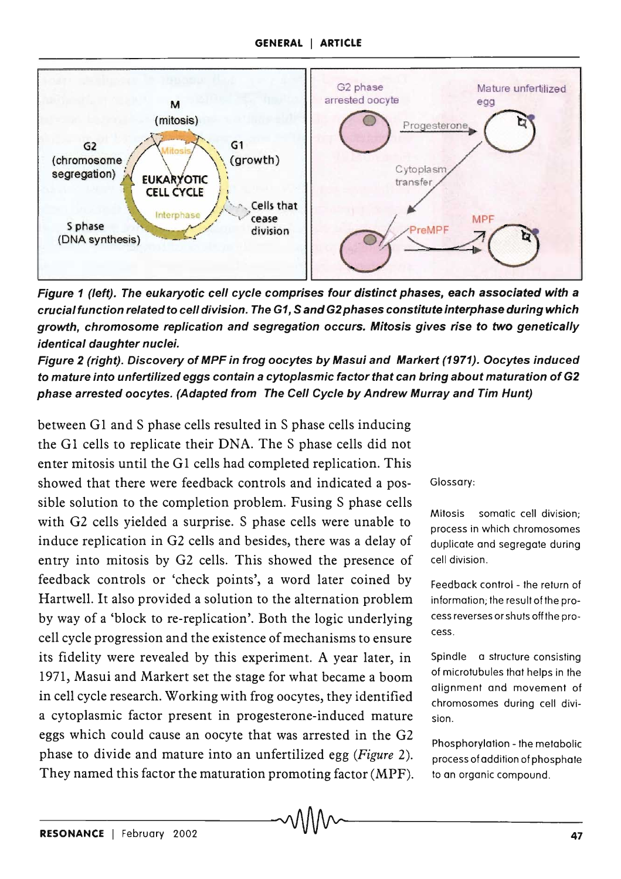## GENERAL I ARTICLE



Figure 1 (left). The eukaryotic cell cycle comprises four distinct phases, each associated with a crucial function related to cell division. The G1, Sand G2 phases constitute interphase during which growth, chromosome replication and segregation occurs. Mitosis gives rise to two genetically identical daughter nuclei.

Figure 2 (right). Discovery of MPF in frog oocytes by Masui and Markert (1971). Oocytes induced to mature into unfertilized eggs contain a cytoplasmic factor that can bring about maturation of G2 phase arrested oocytes. (Adapted from The Cell Cycle by Andrew Murray and Tim Hunt)

between G1 and S phase cells resulted in S phase cells inducing the G1 cells to replicate their DNA. The S phase cells did not enter mitosis until the G1 cells had completed replication. This showed that there were feedback controls and indicated a possible solution to the completion problem. Fusing S phase cells with G2 cells yielded a surprise. S phase cells were unable to induce replication in G2 cells and besides, there was a delay of entry into mitosis by G2 cells. This showed the presence of feedback controls or 'check points', a word later coined by Hartwell. It also provided a solution to the alternation problem by way of a 'block to re-replication'. Both the logic underlying cell cycle progression and the existence of mechanisms to ensure its fidelity were revealed by this experiment. A year later, in 1971, Masui and Markert set the stage for what became a boom in cell cycle research. Working with frog oocytes, they identified a cytoplasmic factor present in progesterone-induced mature eggs which could cause an oocyte that was arrested in the G2 phase to divide and mature into an unfertilized egg *(Figure 2).*  They named this factor the maturation promoting factor (MPF).

Glossary:

Mitosis somatic cell division: process in which chromosomes duplicate and segregate during cell division.

Feedback control - the return of information; the result of the process reverses or shuts off the process.

Spindle a structure consisting of microtubules that helps in the alignment and movement of chromosomes during cell division.

Phosphorylation - the metabolic process of addition of phosphate to an organic compound.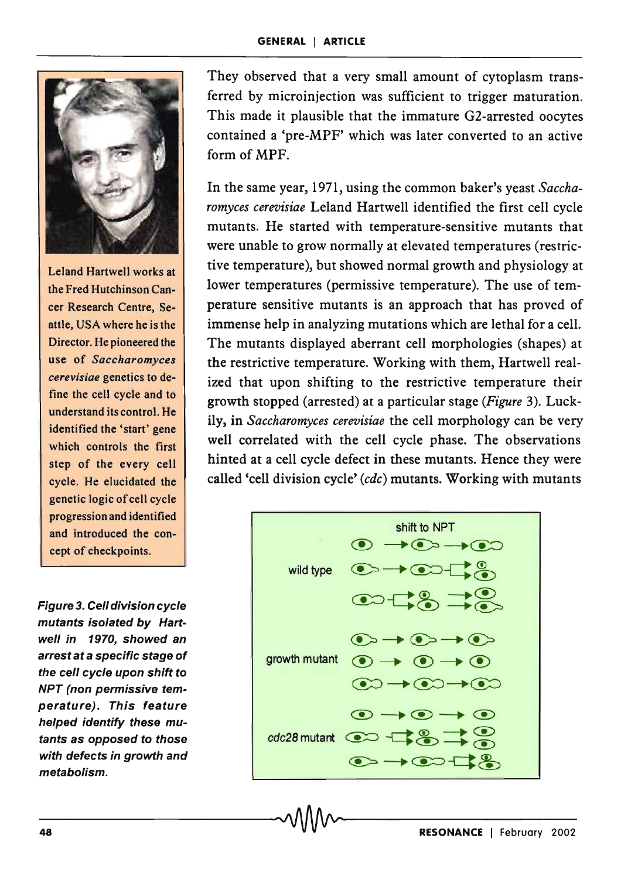

Leland Hartwell works at the Fred Hutchinson Cancer Research Centre, Seattle, USA where he is the Director. He pioneered the use of *Saccharomyces cerevisiae* genetics to define the cell cycle and to understand its control. He identified the 'start' gene which controls the first step of the every cell cycle. He elucidated the genetic logic of cell cycle progression and identified and introduced the concept of checkpoints.

Figure 3. Cell division cycle mutants isolated by Hartwell in 1970, showed an arrest at a specific stage of the cell cycle upon shift to NPT (non permissive temperature). This feature helped identify these mutants as opposed to those with defects in growth and metabolism.

They observed that a very small amount of cytoplasm transferred by microinjection was sufficient to trigger maturation. This made it plausible that the immature G2-arrested oocytes contained a 'pre-MPF' which was later converted to an active form of MPF.

In the same year, 1971, using the common baker's yeast *Saccharomyces cerevisiae* Leland Hartwell identified the first cell cycle mutants. He started with temperature-sensitive mutants that were unable to grow normally at elevated temperatures (restrictive temperature), but showed normal growth and physiology at lower temperatures (permissive temperature). The use of temperature sensitive mutants is an approach that has proved of immense help in analyzing mutations which are lethal for a cell. The mutants displayed aberrant cell morphologies (shapes) at the restrictive temperature. Working with them, Hartwell realized that upon shifting to the restrictive temperature their growth stopped (arrested) at a particular stage *(Figure* 3). Luckily, in *Saccharomyces cerevisiae* the cell morphology can be very well correlated with the cell cycle phase. The observations hinted at a cell cycle defect in these mutants. Hence they were called 'cell division cycle' *(cdc)* mutants. Working with mutants

shift to NPT ® ~C!:>~~ wild type ~~~-C:& ~~~ -.® ~C!) ~CB::> ~--.~--.~ growth mutant C!) --. (!) --. C!) ~--.~--.~ ~-.~-.~ cdc28 mutant ~ ~~~~~ ~ ® ~ ~ ~-.~q&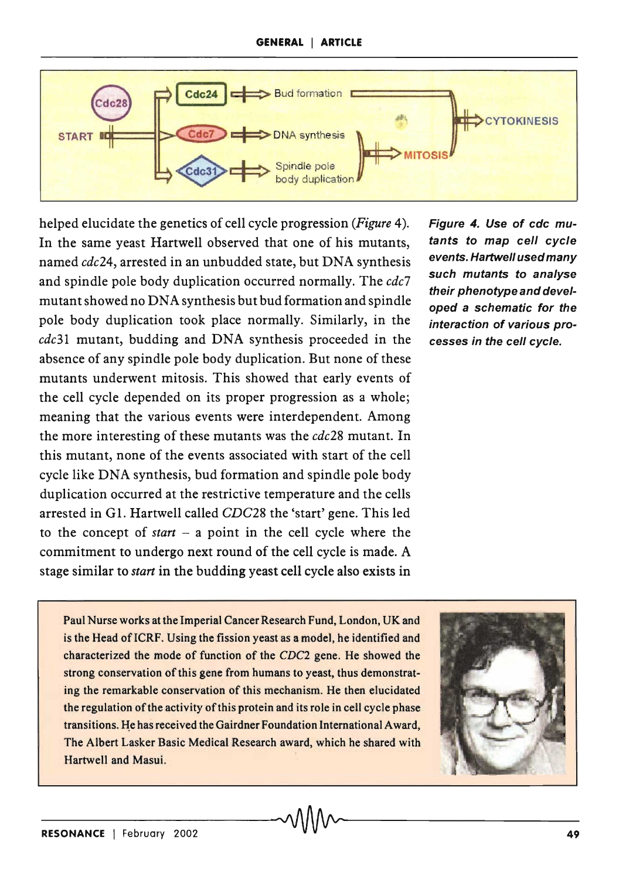

helped elucidate the genetics of cell cycle progression *(Figure* 4). In the same yeast Hartwell observed that one of his mutants, named *cdc24,* arrested in an unbudded state, but DNA synthesis and spindle pole body duplication occurred normally. The *cdc7*  mutant showed no DNA synthesis but bud formation and spindle pole body duplication took place normally. Similarly, in the *cdc31* mutant, budding and DNA synthesis proceeded in the absence of any spindle pole body duplication. But none of these mutants underwent mitosis. This showed that early events of the cell cycle depended on its proper progression as a whole; meaning that the various events were interdependent. Among the more interesting of these mutants was the *cdc28* mutant. In this mutant, none of the events associated with start of the cell cycle like DNA synthesis, bud formation and spindle pole body duplication occurred at the restrictive temperature and the cells arrested in G1. Hartwell called *CDC28* the 'start' gene. This led to the concept of *start* - a point in the cell cycle where the commitment to undergo next round of the cell cycle is made. A stage similar to *start* in the budding yeast cell cycle also exists in

Figure 4. Use of cdc mutants to map cell cycle events. Hartwell used many such mutants to analyse their phenotype and developed a schematic for the interaction of various processes in the cell cycle.

Paul Nurse works at the Imperial Cancer Research Fund, London, UK and is the Head of ICRF. Using the fission yeast as a model, he identified and characterized the mode of function of the *CDC2* gene. He showed the strong conservation of this gene from humans to yeast, thus demonstrating the remarkable conservation of this mechanism. He then elucidated the regulation of the activity of this protein and its role in cell cycle phase transitions. He has received the Gairdner Foundation International Award, The Albert Lasker Basic Medical Research award, which he shared with Hartwell and Masui.

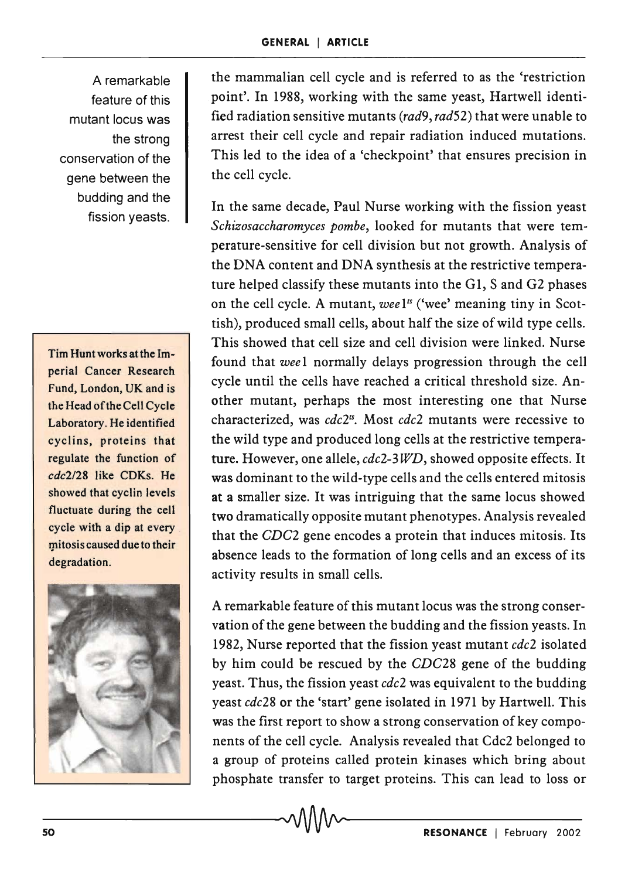A remarkable feature of this mutant locus was the strong conservation of the gene between the budding and the fission yeasts.

Tim Hunt works at the Imperial Cancer Research Fund, London, UK and is the Head of the Cell Cycle Laboratory. He identified cyclins, proteins that regulate the function of *cdc2/28* like CDKs. He showed that cyclin levels fluctuate during the cell cycle with a dip at every mitosis caused due to their degradation.



the mammalian cell cycle and is referred to as the 'restriction point'. In 1988, working with the same yeast, Hartwell identified radiation sensitive mutants *(rad9, rad52)* that were unable to arrest their cell cycle and repair radiation induced mutations. This led to the idea of a 'checkpoint' that ensures precision in the cell cycle.

In the same decade, Paul Nurse working with the fission yeast *Schizosaccharomyces pombe,* looked for mutants that were temperature-sensitive for cell division but not growth. Analysis of the DNA content and DNA synthesis at the restrictive temperature helped classify these mutants into the G1, S and G2 phases on the cell cycle. A mutant, *wee* l<sup>*s*</sup> ('wee' meaning tiny in Scottish), produced small cells, about half the size of wild type cells. This showed that cell size and cell division were linked. Nurse found that *wee* 1 normally delays progression through the cell cycle until the cells have reached a critical threshold size. Another mutant, perhaps the most interesting one that Nurse characterized, was *cdc2ts.* Most *cdc2* mutants were recessive to the wild type and produced long cells at the restrictive temperature. However, one allele, *cdc2-3 WD,* showed opposite effects. It was dominant to the wild-type cells and the cells entered mitosis at a smaller size. It was intriguing that the same locus showed two dramatically opposite mutant phenotypes. Analysis revealed that the *CDC2* gene encodes a protein that induces mitosis. Its absence leads to the formation of long cells and an excess of its activity results in small cells.

A remarkable feature of this mutant locus was the strong conservation of the gene between the budding and the fission yeasts. In 1982, Nurse reported that the fission yeast mutant *cdc2* isolated by him could be rescued by the *CDC28* gene of the budding yeast. Thus, the fission yeast *cdc2* was equivalent to the budding yeast *cdc28* or the 'start' gene isolated in 1971 by Hartwell. This was the first report to show a strong conservation of key components of the cell cycle. Analysis revealed that Cdc2 belonged to a group of proteins called protein kinases which bring about phosphate transfer to target proteins. This can lead to loss or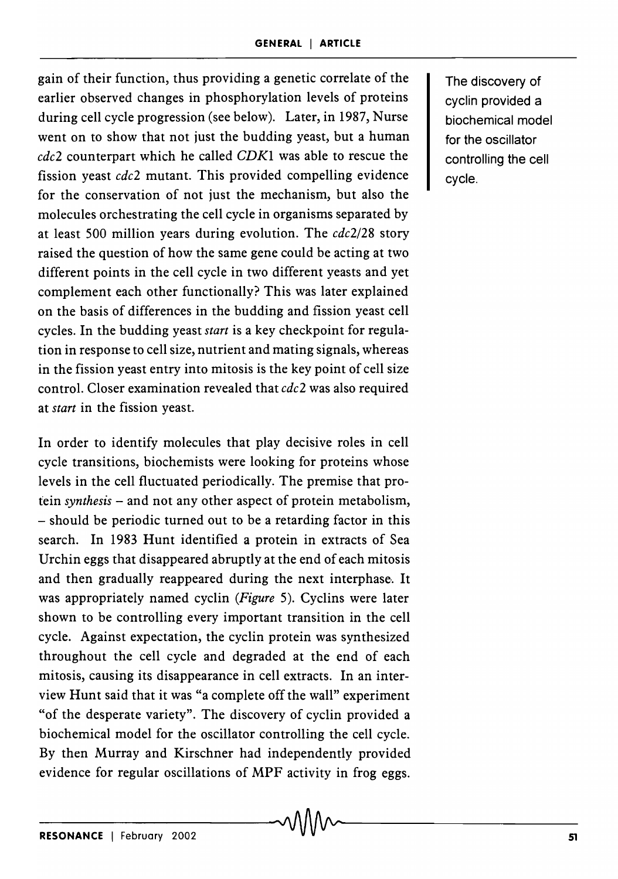gain of their function, thus providing a genetic correlate of the earlier observed changes in phosphorylation levels of proteins during cell cycle progression (see below). Later, in 1987, Nurse went on to show that not just the budding yeast, but a human *cdc2* counterpart which he called *CDKI* was able to rescue the fission yeast *cdc2* mutant. This provided compelling evidence for the conservation of not just the mechanism, but also the molecules orchestrating the cell cycle in organisms separated by at least 500 million years during evolution. The *cdc2/28* story raised the question of how the same gene could be acting at two different points in the cell cycle in two different yeasts and yet complement each other functionally? This was later explained on the basis of differences in the budding and fission yeast cell cycles. In the budding yeast *start* is a key checkpoint for regulation in response to cell size, nutrient and mating signals, whereas in the fission yeast entry into mitosis is the key point of cell size control. Closer examination revealed that *cdc2* was also required at *start* in the fission yeast.

In order to identify molecules that play decisive roles in cell cycle transitions, biochemists were looking for proteins whose levels in the cell fluctuated periodically. The premise that protein *synthesis* - and not any other aspect of protein metabolism, - should be periodic turned out to be a retarding factor in this search. In 1983 Hunt identified a protein in extracts of Sea Urchin eggs that disappeared abruptly at the end of each mitosis and then gradually reappeared during the next interphase. It was appropriately named cyclin *(Figure* 5). Cyclins were later shown to be controlling every important transition in the cell cycle. Against expectation, the cyelin protein was synthesized throughout the cell cycle and degraded at the end of each mitosis, causing its disappearance in cell extracts. In an interview Hunt said that it was "a complete off the wall" experiment "of the desperate variety". The discovery of cyclin provided a biochemical model for the oscillator controlling the cell cycle. By then Murray and Kirschner had independently provided evidence for regular oscillations of MPF activity in frog eggs.

The discovery of cyclin provided a biochemical model for the oscillator controlling the cell cycle.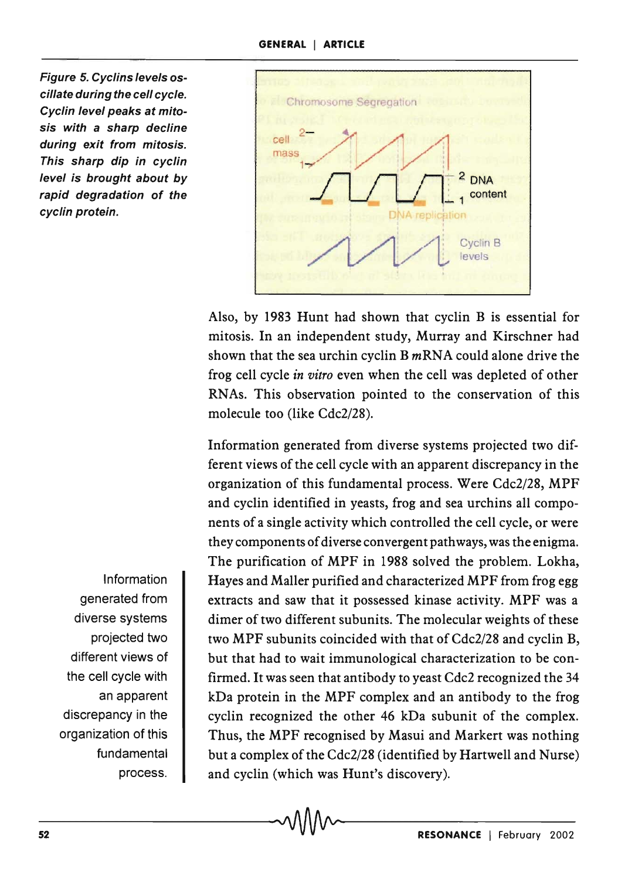Figure 5. Cyclins levels oscillate during the cell cycle. Cyclin level peaks at mitosis with a sharp decline during exit from mitosis. This sharp dip in cyclin level is brought about by rapid degradation of the cyclin protein.



Also, by 1983 Hunt had shown that cyclin B is essential for mitosis. In an independent study, Murray and Kirschner had shown that the sea urchin cyclin  $B$  *m*RNA could alone drive the frog cell cycle *in vitro* even when the cell was depleted of other RNAs. This observation pointed to the conservation of this molecule too (like Cdc2/28).

Information generated from diverse systems projected two different views of the cell cycle with an apparent discrepancy in the organization of this fundamental process. Were Cdc2/28, MPF and cyclin identified in yeasts, frog and sea urchins all components of a single activity which controlled the cell cycle, or were they components of diverse convergent pathways, was the enigma. The purification of MPF in 1988 solved the problem. Lokha, Hayes and Maller purified and characterized MPF from frog egg extracts and saw that it possessed kinase activity. MPF was a dimer of two different subunits. The molecular weights of these two MPF subunits coincided with that of Cdc2/28 and cyclin B, but that had to wait immunological characterization to be confirmed. It was seen that antibody to yeast Cdc2 recognized the 34 kDa protein in the MPF complex and an antibody to the frog cyelin recognized the other 46 kDa subunit of the complex. Thus, the MPF recognised by Masui and Markert was nothing but a complex of the Cdc2/28 (identified by Hartwell and Nurse) and cyelin (which was Hunt's discovery).

Information generated from diverse systems projected two different views of the cell cycle with an apparent discrepancy in the organization of this fundamental process.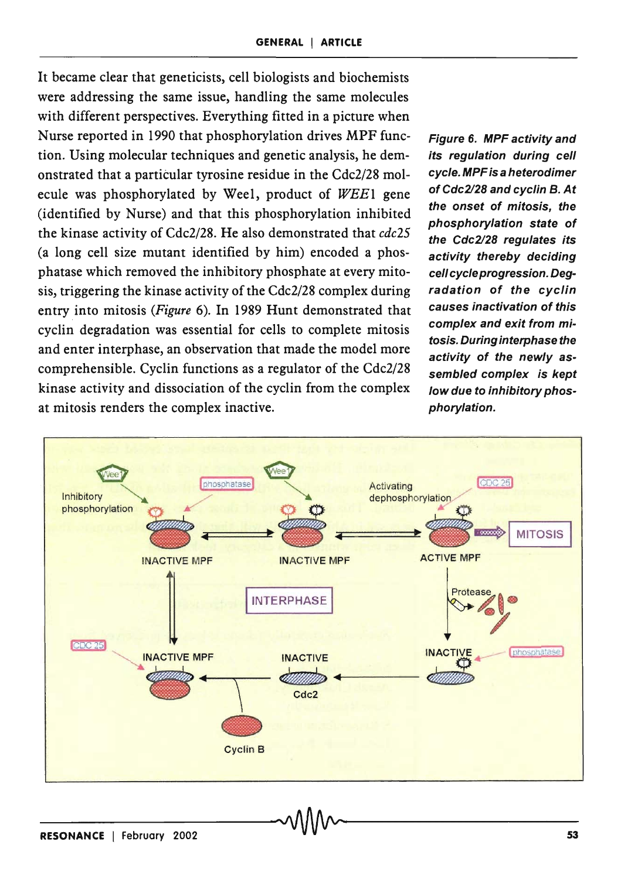It became clear that geneticists, cell biologists and biochemists were addressing the same issue, handling the same molecules with different perspectives. Everything fitted in a picture when Nurse reported in 1990 that phosphorylation drives MPF function. Using molecular techniques and genetic analysis, he demonstrated that a particular tyrosine residue in the Cdc2/28 molecule was phosphorylated by Wee1, product of WEE1 gene (identified by Nurse) and that this phosphorylation inhibited the kinase activity of Cdc2/28. He also demonstrated that *cdc25*  (a long cell size mutant identified by him) encoded a phosphatase which removed the inhibitory phosphate at every mitosis, triggering the kinase activity of the Cdc2/28 complex during entry into mitosis *(Figure* 6). In 1989 Hunt demonstrated that cyclin degradation was essential for cells to complete mitosis and enter interphase, an observation that made the model more comprehensible. Cyclin functions as a regulator of the Cdc2/28 kinase activity and dissociation of the cyclin from the complex at mitosis renders the complex inactive.

Figure 6. MPF activity and its regulation during cell cycle. MPF is a heterodimer of Cdc2l28 and cyclin B. At the onset of mitosis, the phosphorylation state of the Cdc2/28 requlates its activity thereby deciding cell cycle progression. Degradation of the cyclin causes inactivation of this complex and exit from mitosis. During interphase the activity of the newly assembled complex is kept low due to inhibitory phosphorylation.